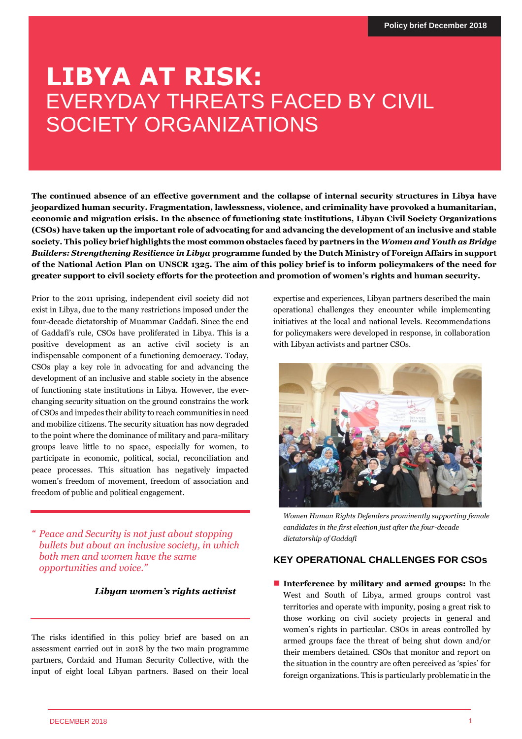# **LIBYA AT RISK:** EVERYDAY THREATS FACED BY CIVIL SOCIETY ORGANIZATIONS

**The continued absence of an effective government and the collapse of internal security structures in Libya have jeopardized human security. Fragmentation, lawlessness, violence, and criminality have provoked a humanitarian, economic and migration crisis. In the absence of functioning state institutions, Libyan Civil Society Organizations (CSOs) have taken up the important role of advocating for and advancing the development of an inclusive and stable society. This policy brief highlights the most common obstacles faced by partners in the** *Women and Youth as Bridge Builders: Strengthening Resilience in Libya* **programme funded by the Dutch Ministry of Foreign Affairs in support of the National Action Plan on UNSCR 1325. The aim of this policy brief is to inform policymakers of the need for greater support to civil society efforts for the protection and promotion of women's rights and human security.** 

Prior to the 2011 uprising, independent civil society did not exist in Libya, due to the many restrictions imposed under the four-decade dictatorship of Muammar Gaddafi. Since the end of Gaddafi's rule, CSOs have proliferated in Libya. This is a positive development as an active civil society is an indispensable component of a functioning democracy. Today, CSOs play a key role in advocating for and advancing the development of an inclusive and stable society in the absence of functioning state institutions in Libya. However, the everchanging security situation on the ground constrains the work of CSOs and impedes their ability to reach communities in need and mobilize citizens. The security situation has now degraded to the point where the dominance of military and para-military groups leave little to no space, especially for women, to participate in economic, political, social, reconciliation and peace processes. This situation has negatively impacted women's freedom of movement, freedom of association and freedom of public and political engagement.

*" Peace and Security is not just about stopping bullets but about an inclusive society, in which both men and women have the same opportunities and voice."*

## *Libyan women's rights activist*

The risks identified in this policy brief are based on an assessment carried out in 2018 by the two main programme partners, Cordaid and Human Security Collective, with the input of eight local Libyan partners. Based on their local

expertise and experiences, Libyan partners described the main operational challenges they encounter while implementing initiatives at the local and national levels. Recommendations for policymakers were developed in response, in collaboration with Libyan activists and partner CSOs.



*Women Human Rights Defenders prominently supporting female candidates in the first election just after the four-decade dictatorship of Gaddafi* 

## **KEY OPERATIONAL CHALLENGES FOR CSOs**

■ **Interference by military and armed groups:** In the West and South of Libya, armed groups control vast territories and operate with impunity, posing a great risk to those working on civil society projects in general and women's rights in particular. CSOs in areas controlled by armed groups face the threat of being shut down and/or their members detained. CSOs that monitor and report on the situation in the country are often perceived as 'spies' for foreign organizations. This is particularly problematic in the